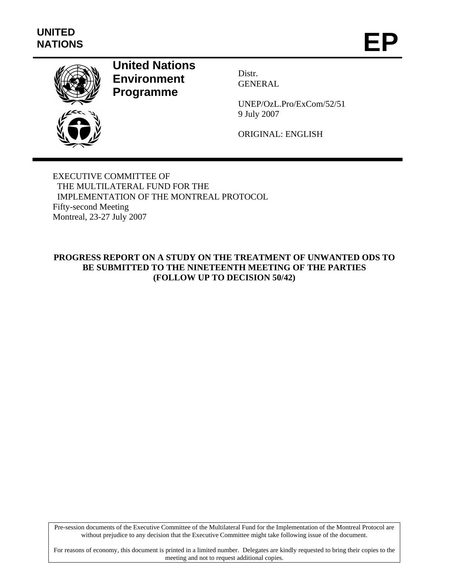

# **United Nations Environment Programme**

Distr. GENERAL

UNEP/OzL.Pro/ExCom/52/51 9 July 2007

ORIGINAL: ENGLISH

EXECUTIVE COMMITTEE OF THE MULTILATERAL FUND FOR THE IMPLEMENTATION OF THE MONTREAL PROTOCOL Fifty-second Meeting Montreal, 23-27 July 2007

# **PROGRESS REPORT ON A STUDY ON THE TREATMENT OF UNWANTED ODS TO BE SUBMITTED TO THE NINETEENTH MEETING OF THE PARTIES (FOLLOW UP TO DECISION 50/42)**

Pre-session documents of the Executive Committee of the Multilateral Fund for the Implementation of the Montreal Protocol are without prejudice to any decision that the Executive Committee might take following issue of the document.

For reasons of economy, this document is printed in a limited number. Delegates are kindly requested to bring their copies to the meeting and not to request additional copies.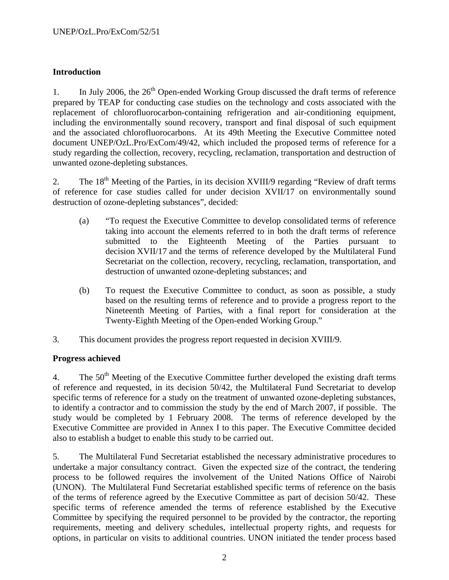### **Introduction**

1. In July 2006, the  $26<sup>th</sup>$  Open-ended Working Group discussed the draft terms of reference prepared by TEAP for conducting case studies on the technology and costs associated with the replacement of chlorofluorocarbon-containing refrigeration and air-conditioning equipment, including the environmentally sound recovery, transport and final disposal of such equipment and the associated chlorofluorocarbons. At its 49th Meeting the Executive Committee noted document UNEP/OzL.Pro/ExCom/49/42, which included the proposed terms of reference for a study regarding the collection, recovery, recycling, reclamation, transportation and destruction of unwanted ozone-depleting substances.

2. The  $18<sup>th</sup>$  Meeting of the Parties, in its decision XVIII/9 regarding "Review of draft terms" of reference for case studies called for under decision XVII/17 on environmentally sound destruction of ozone-depleting substances", decided:

- (a) "To request the Executive Committee to develop consolidated terms of reference taking into account the elements referred to in both the draft terms of reference submitted to the Eighteenth Meeting of the Parties pursuant to decision XVII/17 and the terms of reference developed by the Multilateral Fund Secretariat on the collection, recovery, recycling, reclamation, transportation, and destruction of unwanted ozone-depleting substances; and
- (b) To request the Executive Committee to conduct, as soon as possible, a study based on the resulting terms of reference and to provide a progress report to the Nineteenth Meeting of Parties, with a final report for consideration at the Twenty-Eighth Meeting of the Open-ended Working Group."
- 3. This document provides the progress report requested in decision XVIII/9.

#### **Progress achieved**

4. The 50<sup>th</sup> Meeting of the Executive Committee further developed the existing draft terms of reference and requested, in its decision 50/42, the Multilateral Fund Secretariat to develop specific terms of reference for a study on the treatment of unwanted ozone-depleting substances, to identify a contractor and to commission the study by the end of March 2007, if possible. The study would be completed by 1 February 2008. The terms of reference developed by the Executive Committee are provided in Annex I to this paper. The Executive Committee decided also to establish a budget to enable this study to be carried out.

5. The Multilateral Fund Secretariat established the necessary administrative procedures to undertake a major consultancy contract. Given the expected size of the contract, the tendering process to be followed requires the involvement of the United Nations Office of Nairobi (UNON). The Multilateral Fund Secretariat established specific terms of reference on the basis of the terms of reference agreed by the Executive Committee as part of decision 50/42. These specific terms of reference amended the terms of reference established by the Executive Committee by specifying the required personnel to be provided by the contractor, the reporting requirements, meeting and delivery schedules, intellectual property rights, and requests for options, in particular on visits to additional countries. UNON initiated the tender process based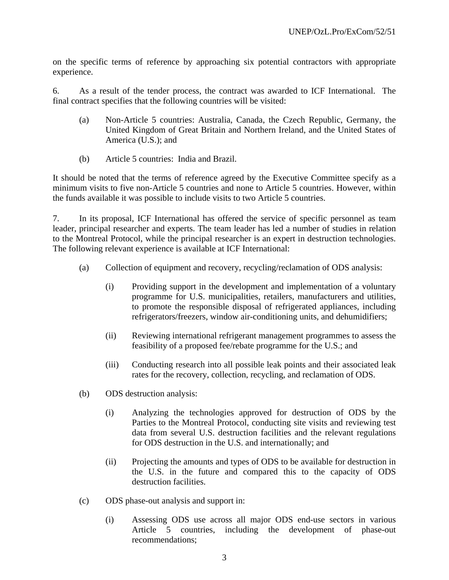on the specific terms of reference by approaching six potential contractors with appropriate experience.

6. As a result of the tender process, the contract was awarded to ICF International. The final contract specifies that the following countries will be visited:

- (a) Non-Article 5 countries: Australia, Canada, the Czech Republic, Germany, the United Kingdom of Great Britain and Northern Ireland, and the United States of America (U.S.); and
- (b) Article 5 countries: India and Brazil.

It should be noted that the terms of reference agreed by the Executive Committee specify as a minimum visits to five non-Article 5 countries and none to Article 5 countries. However, within the funds available it was possible to include visits to two Article 5 countries.

7. In its proposal, ICF International has offered the service of specific personnel as team leader, principal researcher and experts. The team leader has led a number of studies in relation to the Montreal Protocol, while the principal researcher is an expert in destruction technologies. The following relevant experience is available at ICF International:

- (a) Collection of equipment and recovery, recycling/reclamation of ODS analysis:
	- (i) Providing support in the development and implementation of a voluntary programme for U.S. municipalities, retailers, manufacturers and utilities, to promote the responsible disposal of refrigerated appliances, including refrigerators/freezers, window air-conditioning units, and dehumidifiers;
	- (ii) Reviewing international refrigerant management programmes to assess the feasibility of a proposed fee/rebate programme for the U.S.; and
	- (iii) Conducting research into all possible leak points and their associated leak rates for the recovery, collection, recycling, and reclamation of ODS.
- (b) ODS destruction analysis:
	- (i) Analyzing the technologies approved for destruction of ODS by the Parties to the Montreal Protocol, conducting site visits and reviewing test data from several U.S. destruction facilities and the relevant regulations for ODS destruction in the U.S. and internationally; and
	- (ii) Projecting the amounts and types of ODS to be available for destruction in the U.S. in the future and compared this to the capacity of ODS destruction facilities.
- (c) ODS phase-out analysis and support in:
	- (i) Assessing ODS use across all major ODS end-use sectors in various Article 5 countries, including the development of phase-out recommendations;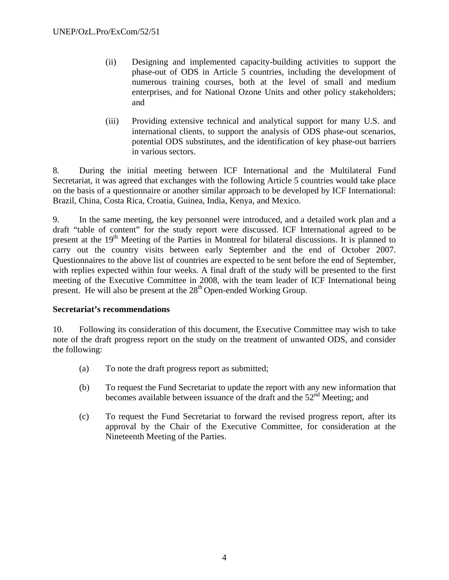- (ii) Designing and implemented capacity-building activities to support the phase-out of ODS in Article 5 countries, including the development of numerous training courses, both at the level of small and medium enterprises, and for National Ozone Units and other policy stakeholders; and
- (iii) Providing extensive technical and analytical support for many U.S. and international clients, to support the analysis of ODS phase-out scenarios, potential ODS substitutes, and the identification of key phase-out barriers in various sectors.

8. During the initial meeting between ICF International and the Multilateral Fund Secretariat, it was agreed that exchanges with the following Article 5 countries would take place on the basis of a questionnaire or another similar approach to be developed by ICF International: Brazil, China, Costa Rica, Croatia, Guinea, India, Kenya, and Mexico.

9. In the same meeting, the key personnel were introduced, and a detailed work plan and a draft "table of content" for the study report were discussed. ICF International agreed to be present at the 19<sup>th</sup> Meeting of the Parties in Montreal for bilateral discussions. It is planned to carry out the country visits between early September and the end of October 2007. Questionnaires to the above list of countries are expected to be sent before the end of September, with replies expected within four weeks. A final draft of the study will be presented to the first meeting of the Executive Committee in 2008, with the team leader of ICF International being present. He will also be present at the 28<sup>th</sup> Open-ended Working Group.

#### **Secretariat's recommendations**

10. Following its consideration of this document, the Executive Committee may wish to take note of the draft progress report on the study on the treatment of unwanted ODS, and consider the following:

- (a) To note the draft progress report as submitted;
- (b) To request the Fund Secretariat to update the report with any new information that becomes available between issuance of the draft and the  $52<sup>nd</sup>$  Meeting; and
- (c) To request the Fund Secretariat to forward the revised progress report, after its approval by the Chair of the Executive Committee, for consideration at the Nineteenth Meeting of the Parties.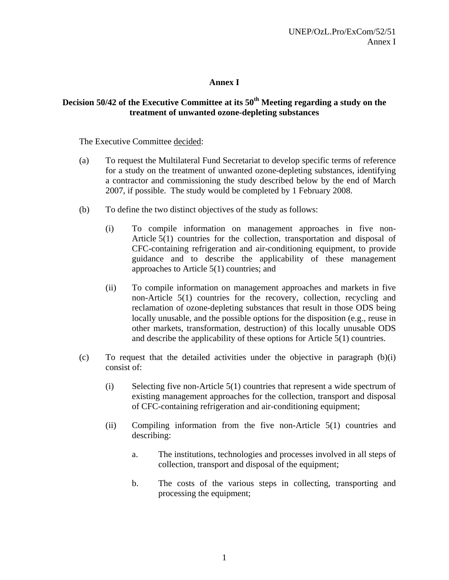### **Annex I**

# **Decision 50/42 of the Executive Committee at its 50th Meeting regarding a study on the treatment of unwanted ozone-depleting substances**

The Executive Committee decided:

- (a) To request the Multilateral Fund Secretariat to develop specific terms of reference for a study on the treatment of unwanted ozone-depleting substances, identifying a contractor and commissioning the study described below by the end of March 2007, if possible. The study would be completed by 1 February 2008.
- (b) To define the two distinct objectives of the study as follows:
	- (i) To compile information on management approaches in five non-Article 5(1) countries for the collection, transportation and disposal of CFC-containing refrigeration and air-conditioning equipment, to provide guidance and to describe the applicability of these management approaches to Article 5(1) countries; and
	- (ii) To compile information on management approaches and markets in five non-Article 5(1) countries for the recovery, collection, recycling and reclamation of ozone-depleting substances that result in those ODS being locally unusable, and the possible options for the disposition (e.g., reuse in other markets, transformation, destruction) of this locally unusable ODS and describe the applicability of these options for Article 5(1) countries.
- (c) To request that the detailed activities under the objective in paragraph (b)(i) consist of:
	- (i) Selecting five non-Article 5(1) countries that represent a wide spectrum of existing management approaches for the collection, transport and disposal of CFC-containing refrigeration and air-conditioning equipment;
	- (ii) Compiling information from the five non-Article 5(1) countries and describing:
		- a. The institutions, technologies and processes involved in all steps of collection, transport and disposal of the equipment;
		- b. The costs of the various steps in collecting, transporting and processing the equipment;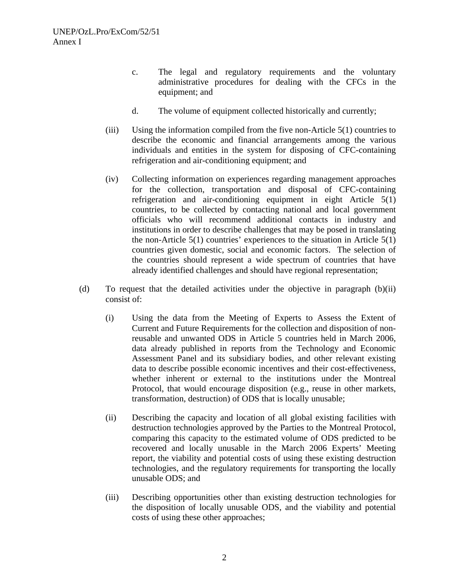- c. The legal and regulatory requirements and the voluntary administrative procedures for dealing with the CFCs in the equipment; and
- d. The volume of equipment collected historically and currently;
- (iii) Using the information compiled from the five non-Article 5(1) countries to describe the economic and financial arrangements among the various individuals and entities in the system for disposing of CFC-containing refrigeration and air-conditioning equipment; and
- (iv) Collecting information on experiences regarding management approaches for the collection, transportation and disposal of CFC-containing refrigeration and air-conditioning equipment in eight Article 5(1) countries, to be collected by contacting national and local government officials who will recommend additional contacts in industry and institutions in order to describe challenges that may be posed in translating the non-Article  $5(1)$  countries' experiences to the situation in Article  $5(1)$ countries given domestic, social and economic factors. The selection of the countries should represent a wide spectrum of countries that have already identified challenges and should have regional representation;
- (d) To request that the detailed activities under the objective in paragraph (b)(ii) consist of:
	- (i) Using the data from the Meeting of Experts to Assess the Extent of Current and Future Requirements for the collection and disposition of nonreusable and unwanted ODS in Article 5 countries held in March 2006, data already published in reports from the Technology and Economic Assessment Panel and its subsidiary bodies, and other relevant existing data to describe possible economic incentives and their cost-effectiveness, whether inherent or external to the institutions under the Montreal Protocol, that would encourage disposition (e.g., reuse in other markets, transformation, destruction) of ODS that is locally unusable;
	- (ii) Describing the capacity and location of all global existing facilities with destruction technologies approved by the Parties to the Montreal Protocol, comparing this capacity to the estimated volume of ODS predicted to be recovered and locally unusable in the March 2006 Experts' Meeting report, the viability and potential costs of using these existing destruction technologies, and the regulatory requirements for transporting the locally unusable ODS; and
	- (iii) Describing opportunities other than existing destruction technologies for the disposition of locally unusable ODS, and the viability and potential costs of using these other approaches;